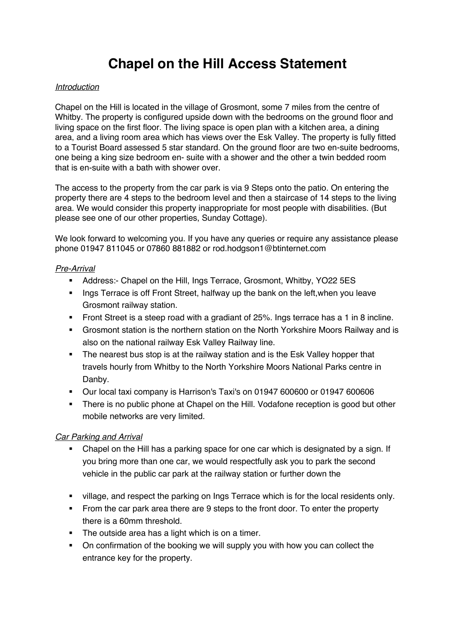# **Chapel on the Hill Access Statement**

#### *Introduction*

Chapel on the Hill is located in the village of Grosmont, some 7 miles from the centre of Whitby. The property is configured upside down with the bedrooms on the ground floor and living space on the first floor. The living space is open plan with a kitchen area, a dining area, and a living room area which has views over the Esk Valley. The property is fully fitted to a Tourist Board assessed 5 star standard. On the ground floor are two en-suite bedrooms, one being a king size bedroom en- suite with a shower and the other a twin bedded room that is en-suite with a bath with shower over.

The access to the property from the car park is via 9 Steps onto the patio. On entering the property there are 4 steps to the bedroom level and then a staircase of 14 steps to the living area. We would consider this property inappropriate for most people with disabilities. (But please see one of our other properties, Sunday Cottage).

We look forward to welcoming you. If you have any queries or require any assistance please phone 01947 811045 or 07860 881882 or rod.hodgson1@btinternet.com

#### *Pre-Arrival*

- § Address:- Chapel on the Hill, Ings Terrace, Grosmont, Whitby, YO22 5ES
- Ings Terrace is off Front Street, halfway up the bank on the left, when you leave Grosmont railway station.
- **•** Front Street is a steep road with a gradiant of 25%. Ings terrace has a 1 in 8 incline.
- § Grosmont station is the northern station on the North Yorkshire Moors Railway and is also on the national railway Esk Valley Railway line.
- The nearest bus stop is at the railway station and is the Esk Valley hopper that travels hourly from Whitby to the North Yorkshire Moors National Parks centre in Danby.
- § Our local taxi company is Harrison's Taxi's on 01947 600600 or 01947 600606
- There is no public phone at Chapel on the Hill. Vodafone reception is good but other mobile networks are very limited.

#### *Car Parking and Arrival*

- § Chapel on the Hill has a parking space for one car which is designated by a sign. If you bring more than one car, we would respectfully ask you to park the second vehicle in the public car park at the railway station or further down the
- village, and respect the parking on lngs Terrace which is for the local residents only.
- From the car park area there are 9 steps to the front door. To enter the property there is a 60mm threshold.
- The outside area has a light which is on a timer.
- On confirmation of the booking we will supply you with how you can collect the entrance key for the property.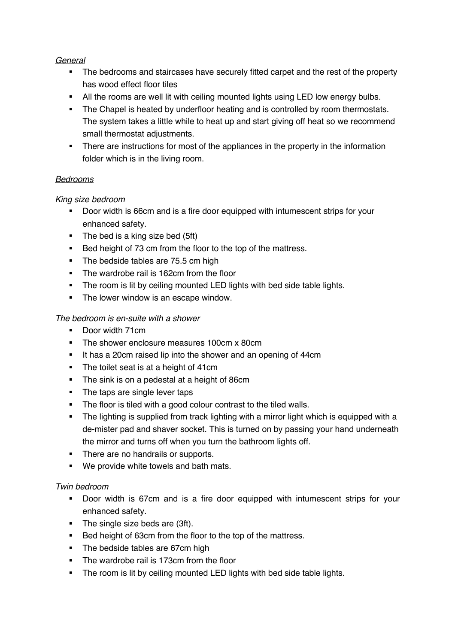## *General*

- The bedrooms and staircases have securely fitted carpet and the rest of the property has wood effect floor tiles
- All the rooms are well lit with ceiling mounted lights using LED low energy bulbs.
- The Chapel is heated by underfloor heating and is controlled by room thermostats. The system takes a little while to heat up and start giving off heat so we recommend small thermostat adjustments.
- There are instructions for most of the appliances in the property in the information folder which is in the living room.

# *Bedrooms*

# *King size bedroom*

- Door width is 66cm and is a fire door equipped with intumescent strips for your enhanced safety.
- The bed is a king size bed (5ft)
- Bed height of 73 cm from the floor to the top of the mattress.
- The bedside tables are 75.5 cm high
- The wardrobe rail is 162cm from the floor
- The room is lit by ceiling mounted LED lights with bed side table lights.
- The lower window is an escape window.

# *The bedroom is en-suite with a shower*

- Door width 71cm
- The shower enclosure measures 100cm x 80cm
- It has a 20cm raised lip into the shower and an opening of 44cm
- The toilet seat is at a height of 41cm
- The sink is on a pedestal at a height of 86cm
- The taps are single lever taps
- The floor is tiled with a good colour contrast to the tiled walls.
- The lighting is supplied from track lighting with a mirror light which is equipped with a de-mister pad and shaver socket. This is turned on by passing your hand underneath the mirror and turns off when you turn the bathroom lights off.
- There are no handrails or supports.
- We provide white towels and bath mats.

## *Twin bedroom*

- Door width is 67cm and is a fire door equipped with intumescent strips for your enhanced safety.
- The single size beds are (3ft).
- Bed height of 63cm from the floor to the top of the mattress.
- The bedside tables are 67cm high
- The wardrobe rail is 173cm from the floor
- The room is lit by ceiling mounted LED lights with bed side table lights.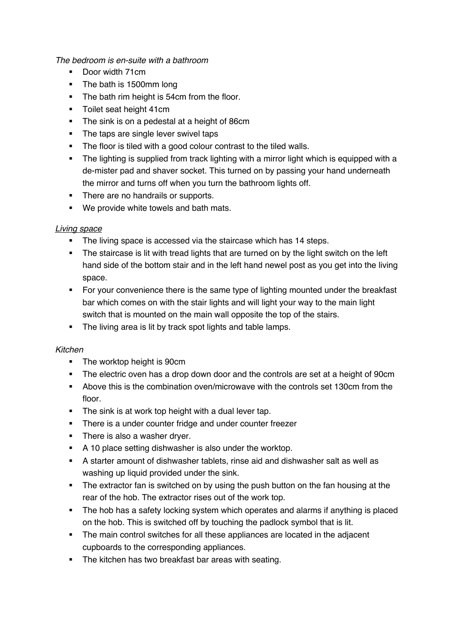*The bedroom is en-suite with a bathroom*

- Door width 71cm
- The bath is 1500mm long
- The bath rim height is 54cm from the floor.
- **•** Toilet seat height 41cm
- The sink is on a pedestal at a height of 86cm
- The taps are single lever swivel taps
- The floor is tiled with a good colour contrast to the tiled walls.
- The lighting is supplied from track lighting with a mirror light which is equipped with a de-mister pad and shaver socket. This turned on by passing your hand underneath the mirror and turns off when you turn the bathroom lights off.
- There are no handrails or supports.
- We provide white towels and bath mats.

### *Living space*

- The living space is accessed via the staircase which has 14 steps.
- **•** The staircase is lit with tread lights that are turned on by the light switch on the left hand side of the bottom stair and in the left hand newel post as you get into the living space.
- For your convenience there is the same type of lighting mounted under the breakfast bar which comes on with the stair lights and will light your way to the main light switch that is mounted on the main wall opposite the top of the stairs.
- The living area is lit by track spot lights and table lamps.

#### *Kitchen*

- The worktop height is 90cm
- The electric oven has a drop down door and the controls are set at a height of 90cm
- § Above this is the combination oven/microwave with the controls set 130cm from the floor.
- The sink is at work top height with a dual lever tap.
- There is a under counter fridge and under counter freezer
- There is also a washer drver.
- **•** A 10 place setting dishwasher is also under the worktop.
- § A starter amount of dishwasher tablets, rinse aid and dishwasher salt as well as washing up liquid provided under the sink.
- The extractor fan is switched on by using the push button on the fan housing at the rear of the hob. The extractor rises out of the work top.
- The hob has a safety locking system which operates and alarms if anything is placed on the hob. This is switched off by touching the padlock symbol that is lit.
- The main control switches for all these appliances are located in the adjacent cupboards to the corresponding appliances.
- The kitchen has two breakfast bar areas with seating.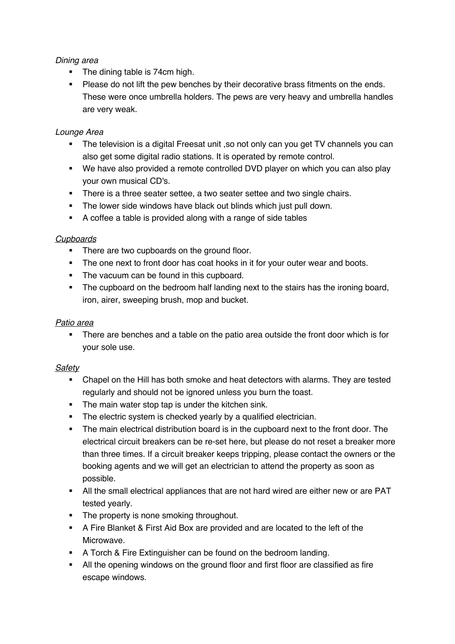## *Dining area*

- The dining table is 74cm high.
- **Please do not lift the pew benches by their decorative brass fitments on the ends.** These were once umbrella holders. The pews are very heavy and umbrella handles are very weak.

## *Lounge Area*

- The television is a digital Freesat unit , so not only can you get TV channels you can also get some digital radio stations. It is operated by remote control.
- We have also provided a remote controlled DVD player on which you can also play your own musical CD's.
- There is a three seater settee, a two seater settee and two single chairs.
- **•** The lower side windows have black out blinds which just pull down.
- § A coffee a table is provided along with a range of side tables

## *Cupboards*

- There are two cupboards on the ground floor.
- The one next to front door has coat hooks in it for your outer wear and boots.
- The vacuum can be found in this cupboard.
- The cupboard on the bedroom half landing next to the stairs has the ironing board, iron, airer, sweeping brush, mop and bucket.

#### *Patio area*

• There are benches and a table on the patio area outside the front door which is for your sole use.

#### *Safety*

- Chapel on the Hill has both smoke and heat detectors with alarms. They are tested regularly and should not be ignored unless you burn the toast.
- The main water stop tap is under the kitchen sink.
- The electric system is checked yearly by a qualified electrician.
- The main electrical distribution board is in the cupboard next to the front door. The electrical circuit breakers can be re-set here, but please do not reset a breaker more than three times. If a circuit breaker keeps tripping, please contact the owners or the booking agents and we will get an electrician to attend the property as soon as possible.
- All the small electrical appliances that are not hard wired are either new or are PAT tested yearly.
- The property is none smoking throughout.
- § A Fire Blanket & First Aid Box are provided and are located to the left of the Microwave.
- **A Torch & Fire Extinguisher can be found on the bedroom landing.**
- All the opening windows on the ground floor and first floor are classified as fire escape windows.